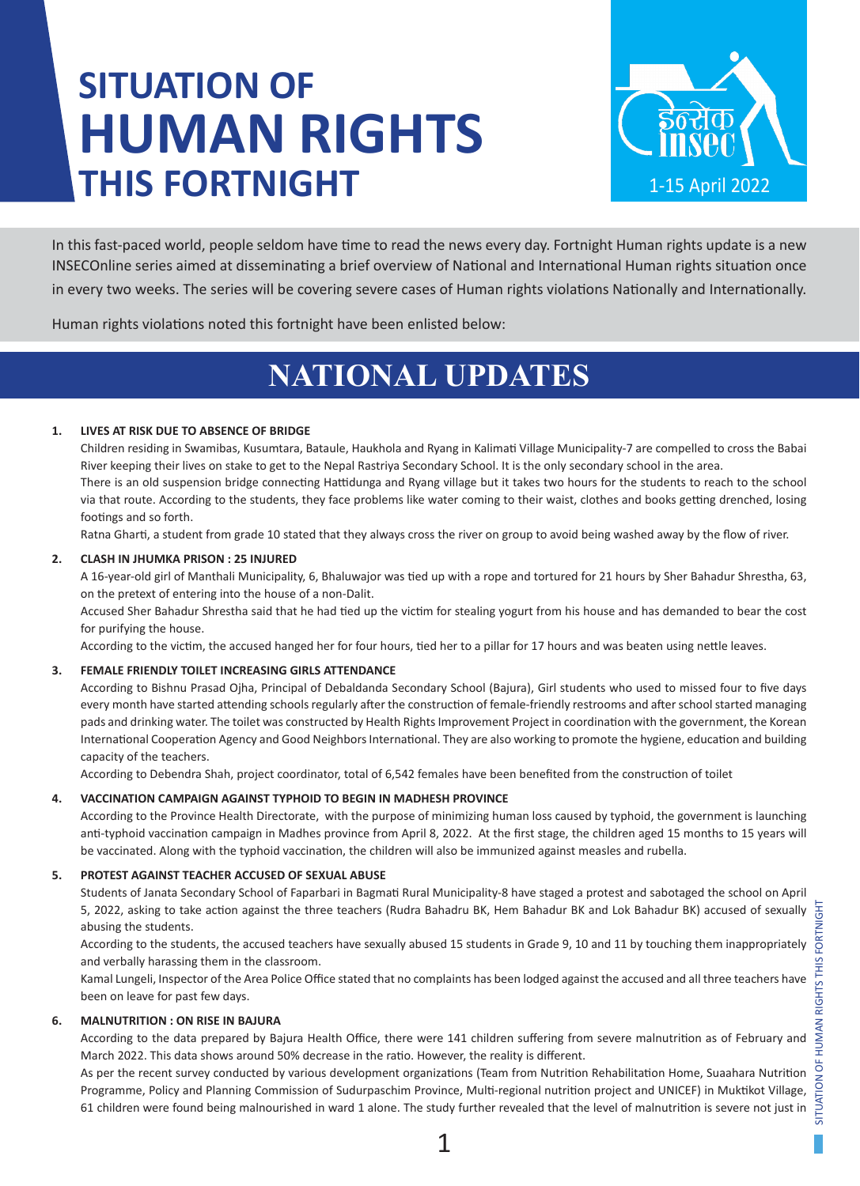# **SITUATION OF HUMAN RIGHTS THIS FORTNIGHT**



In this fast-paced world, people seldom have time to read the news every day. Fortnight Human rights update is a new INSECOnline series aimed at disseminating a brief overview of National and International Human rights situation once in every two weeks. The series will be covering severe cases of Human rights violations Nationally and Internationally.

Human rights violations noted this fortnight have been enlisted below:

## **NATIONAL UPDATES**

### **1. LIVES AT RISK DUE TO ABSENCE OF BRIDGE**

Children residing in Swamibas, Kusumtara, Bataule, Haukhola and Ryang in Kalimati Village Municipality-7 are compelled to cross the Babai River keeping their lives on stake to get to the Nepal Rastriya Secondary School. It is the only secondary school in the area. There is an old suspension bridge connecting Hattidunga and Ryang village but it takes two hours for the students to reach to the school via that route. According to the students, they face problems like water coming to their waist, clothes and books getting drenched, losing footings and so forth.

Ratna Gharti, a student from grade 10 stated that they always cross the river on group to avoid being washed away by the flow of river.

### **2. CLASH IN JHUMKA PRISON : 25 INJURED**

A 16-year-old girl of Manthali Municipality, 6, Bhaluwajor was tied up with a rope and tortured for 21 hours by Sher Bahadur Shrestha, 63, on the pretext of entering into the house of a non-Dalit.

Accused Sher Bahadur Shrestha said that he had tied up the victim for stealing yogurt from his house and has demanded to bear the cost for purifying the house.

According to the victim, the accused hanged her for four hours, tied her to a pillar for 17 hours and was beaten using nettle leaves.

### **3. FEMALE FRIENDLY TOILET INCREASING GIRLS ATTENDANCE**

According to Bishnu Prasad Ojha, Principal of Debaldanda Secondary School (Bajura), Girl students who used to missed four to five days every month have started attending schools regularly after the construction of female-friendly restrooms and after school started managing pads and drinking water. The toilet was constructed by Health Rights Improvement Project in coordination with the government, the Korean International Cooperation Agency and Good Neighbors International. They are also working to promote the hygiene, education and building capacity of the teachers.

According to Debendra Shah, project coordinator, total of 6,542 females have been benefited from the construction of toilet

### **4. VACCINATION CAMPAIGN AGAINST TYPHOID TO BEGIN IN MADHESH PROVINCE**

According to the Province Health Directorate, with the purpose of minimizing human loss caused by typhoid, the government is launching anti-typhoid vaccination campaign in Madhes province from April 8, 2022. At the first stage, the children aged 15 months to 15 years will be vaccinated. Along with the typhoid vaccination, the children will also be immunized against measles and rubella.

### **5. PROTEST AGAINST TEACHER ACCUSED OF SEXUAL ABUSE**

Students of Janata Secondary School of Faparbari in Bagmati Rural Municipality-8 have staged a protest and sabotaged the school on April 5, 2022, asking to take action against the three teachers (Rudra Bahadru BK, Hem Bahadur BK and Lok Bahadur BK) accused of sexually abusing the students.

According to the students, the accused teachers have sexually abused 15 students in Grade 9, 10 and 11 by touching them inappropriately and verbally harassing them in the classroom.

Kamal Lungeli, Inspector of the Area Police Office stated that no complaints has been lodged against the accused and all three teachers have been on leave for past few days.

### **6. MALNUTRITION : ON RISE IN BAJURA**

According to the data prepared by Bajura Health Office, there were 141 children suffering from severe malnutrition as of February and March 2022. This data shows around 50% decrease in the ratio. However, the reality is different.

As per the recent survey conducted by various development organizations (Team from Nutrition Rehabilitation Home, Suaahara Nutrition Programme, Policy and Planning Commission of Sudurpaschim Province, Multi-regional nutrition project and UNICEF) in Muktikot Village, 61 children were found being malnourished in ward 1 alone. The study further revealed that the level of malnutrition is severe not just in